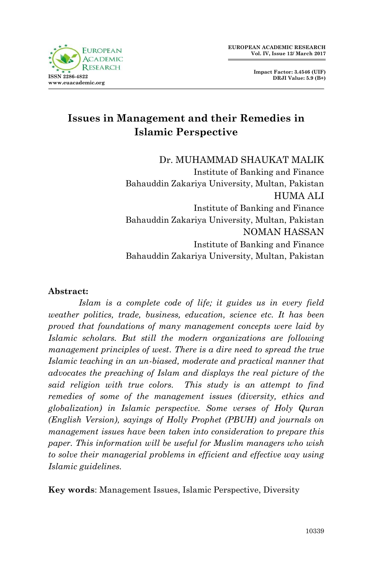

**Impact Factor: 3.4546 (UIF) DRJI Value: 5.9 (B+)**

# **Issues in Management and their Remedies in Islamic Perspective**

Dr. MUHAMMAD SHAUKAT MALIK Institute of Banking and Finance Bahauddin Zakariya University, Multan, Pakistan HUMA ALI Institute of Banking and Finance Bahauddin Zakariya University, Multan, Pakistan NOMAN HASSAN Institute of Banking and Finance Bahauddin Zakariya University, Multan, Pakistan

#### **Abstract:**

*Islam is a complete code of life; it guides us in every field weather politics, trade, business, education, science etc. It has been proved that foundations of many management concepts were laid by Islamic scholars. But still the modern organizations are following management principles of west. There is a dire need to spread the true Islamic teaching in an un-biased, moderate and practical manner that advocates the preaching of Islam and displays the real picture of the said religion with true colors. This study is an attempt to find remedies of some of the management issues (diversity, ethics and globalization) in Islamic perspective. Some verses of Holy Quran (English Version), sayings of Holly Prophet (PBUH) and journals on management issues have been taken into consideration to prepare this paper. This information will be useful for Muslim managers who wish to solve their managerial problems in efficient and effective way using Islamic guidelines.*

**Key words**: Management Issues, Islamic Perspective, Diversity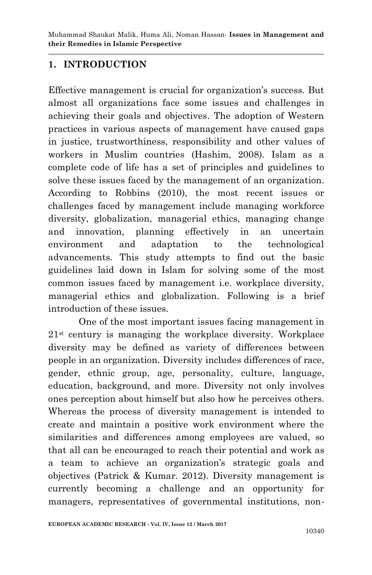Muhammad Shaukat Malik, Huma Ali, Noman Hassan*-* **Issues in Management and their Remedies in Islamic Perspective**

#### **1. INTRODUCTION**

Effective management is crucial for organization's success. But almost all organizations face some issues and challenges in achieving their goals and objectives. The adoption of Western practices in various aspects of management have caused gaps in justice, trustworthiness, responsibility and other values of workers in Muslim countries (Hashim, 2008). Islam as a complete code of life has a set of principles and guidelines to solve these issues faced by the management of an organization. According to Robbins (2010), the most recent issues or challenges faced by management include managing workforce diversity, globalization, managerial ethics, managing change and innovation, planning effectively in an uncertain environment and adaptation to the technological advancements. This study attempts to find out the basic guidelines laid down in Islam for solving some of the most common issues faced by management i.e. workplace diversity, managerial ethics and globalization. Following is a brief introduction of these issues.

One of the most important issues facing management in 21st century is managing the workplace diversity. Workplace diversity may be defined as variety of differences between people in an organization. Diversity includes differences of race, gender, ethnic group, age, personality, culture, language, education, background, and more. Diversity not only involves ones perception about himself but also how he perceives others. Whereas the process of diversity management is intended to create and maintain a positive work environment where the similarities and differences among employees are valued, so that all can be encouraged to reach their potential and work as a team to achieve an organization"s strategic goals and objectives (Patrick & Kumar. 2012). Diversity management is currently becoming a challenge and an opportunity for managers, representatives of governmental institutions, non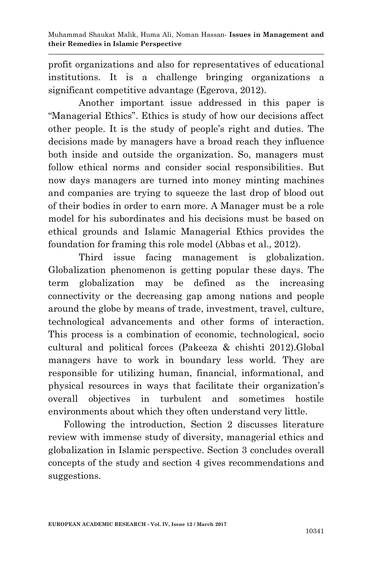profit organizations and also for representatives of educational institutions. It is a challenge bringing organizations a significant competitive advantage (Egerova, 2012).

Another important issue addressed in this paper is "Managerial Ethics". Ethics is study of how our decisions affect other people. It is the study of people"s right and duties. The decisions made by managers have a broad reach they influence both inside and outside the organization. So, managers must follow ethical norms and consider social responsibilities. But now days managers are turned into money minting machines and companies are trying to squeeze the last drop of blood out of their bodies in order to earn more. A Manager must be a role model for his subordinates and his decisions must be based on ethical grounds and Islamic Managerial Ethics provides the foundation for framing this role model (Abbas et al., 2012).

Third issue facing management is globalization. Globalization phenomenon is getting popular these days. The term globalization may be defined as the increasing connectivity or the decreasing gap among nations and people around the globe by means of trade, investment, travel, culture, technological advancements and other forms of interaction. This process is a combination of economic, technological, socio cultural and political forces (Pakeeza & chishti 2012).Global managers have to work in boundary less world. They are responsible for utilizing human, financial, informational, and physical resources in ways that facilitate their organization"s overall objectives in turbulent and sometimes hostile environments about which they often understand very little.

Following the introduction, Section 2 discusses literature review with immense study of diversity, managerial ethics and globalization in Islamic perspective. Section 3 concludes overall concepts of the study and section 4 gives recommendations and suggestions.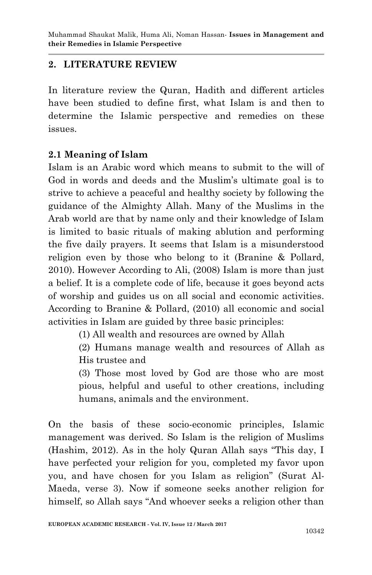# **2. LITERATURE REVIEW**

In literature review the Quran, Hadith and different articles have been studied to define first, what Islam is and then to determine the Islamic perspective and remedies on these issues.

## **2.1 Meaning of Islam**

Islam is an Arabic word which means to submit to the will of God in words and deeds and the Muslim"s ultimate goal is to strive to achieve a peaceful and healthy society by following the guidance of the Almighty Allah. Many of the Muslims in the Arab world are that by name only and their knowledge of Islam is limited to basic rituals of making ablution and performing the five daily prayers. It seems that Islam is a misunderstood religion even by those who belong to it (Branine & Pollard, 2010). However According to Ali, (2008) Islam is more than just a belief. It is a complete code of life, because it goes beyond acts of worship and guides us on all social and economic activities. According to Branine & Pollard, (2010) all economic and social activities in Islam are guided by three basic principles:

(1) All wealth and resources are owned by Allah

(2) Humans manage wealth and resources of Allah as His trustee and

(3) Those most loved by God are those who are most pious, helpful and useful to other creations, including humans, animals and the environment.

On the basis of these socio-economic principles, Islamic management was derived. So Islam is the religion of Muslims (Hashim, 2012). As in the holy Quran Allah says "This day, I have perfected your religion for you, completed my favor upon you, and have chosen for you Islam as religion" (Surat Al-Maeda, verse 3). Now if someone seeks another religion for himself, so Allah says "And whoever seeks a religion other than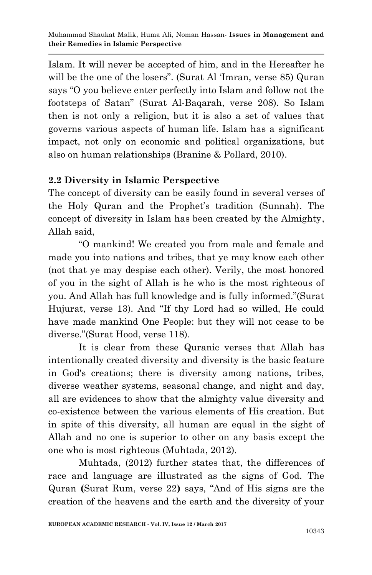Islam. It will never be accepted of him, and in the Hereafter he will be the one of the losers". (Surat Al 'Imran, verse 85) Quran says "O you believe enter perfectly into Islam and follow not the footsteps of Satan" (Surat Al-Baqarah, verse 208). So Islam then is not only a religion, but it is also a set of values that governs various aspects of human life. Islam has a significant impact, not only on economic and political organizations, but also on human relationships (Branine & Pollard, 2010).

#### **2.2 Diversity in Islamic Perspective**

The concept of diversity can be easily found in several verses of the Holy Quran and the Prophet"s tradition (Sunnah). The concept of diversity in Islam has been created by the Almighty, Allah said,

"O mankind! We created you from male and female and made you into nations and tribes, that ye may know each other (not that ye may despise each other). Verily, the most honored of you in the sight of Allah is he who is the most righteous of you. And Allah has full knowledge and is fully informed."(Surat Hujurat, verse 13). And "If thy Lord had so willed, He could have made mankind One People: but they will not cease to be diverse."(Surat Hood, verse 118).

It is clear from these Quranic verses that Allah has intentionally created diversity and diversity is the basic feature in God's creations; there is diversity among nations, tribes, diverse weather systems, seasonal change, and night and day, all are evidences to show that the almighty value diversity and co-existence between the various elements of His creation. But in spite of this diversity, all human are equal in the sight of Allah and no one is superior to other on any basis except the one who is most righteous (Muhtada, 2012).

Muhtada, (2012) further states that, the differences of race and language are illustrated as the signs of God. The Quran **(**Surat Rum, verse 22**)** says, "And of His signs are the creation of the heavens and the earth and the diversity of your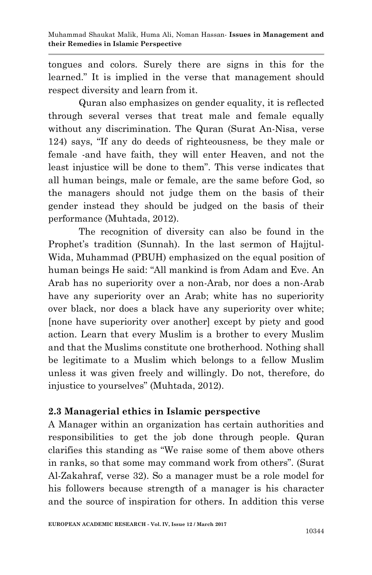tongues and colors. Surely there are signs in this for the learned." It is implied in the verse that management should respect diversity and learn from it.

Quran also emphasizes on gender equality, it is reflected through several verses that treat male and female equally without any discrimination. The Quran (Surat An-Nisa, verse 124) says, "If any do deeds of righteousness, be they male or female -and have faith, they will enter Heaven, and not the least injustice will be done to them". This verse indicates that all human beings, male or female, are the same before God, so the managers should not judge them on the basis of their gender instead they should be judged on the basis of their performance (Muhtada, 2012).

The recognition of diversity can also be found in the Prophet's tradition (Sunnah). In the last sermon of Hajjtul-Wida, Muhammad (PBUH) emphasized on the equal position of human beings He said: "All mankind is from Adam and Eve. An Arab has no superiority over a non-Arab, nor does a non-Arab have any superiority over an Arab; white has no superiority over black, nor does a black have any superiority over white; [none have superiority over another] except by piety and good action. Learn that every Muslim is a brother to every Muslim and that the Muslims constitute one brotherhood. Nothing shall be legitimate to a Muslim which belongs to a fellow Muslim unless it was given freely and willingly. Do not, therefore, do injustice to yourselves" (Muhtada, 2012).

## **2.3 Managerial ethics in Islamic perspective**

A Manager within an organization has certain authorities and responsibilities to get the job done through people. Quran clarifies this standing as "We raise some of them above others in ranks, so that some may command work from others". (Surat Al-Zakahraf, verse 32). So a manager must be a role model for his followers because strength of a manager is his character and the source of inspiration for others. In addition this verse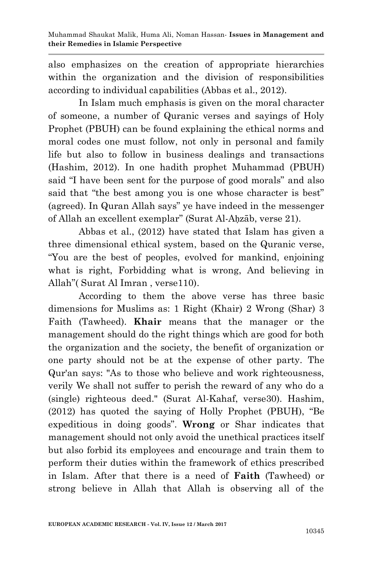also emphasizes on the creation of appropriate hierarchies within the organization and the division of responsibilities according to individual capabilities (Abbas et al., 2012).

In Islam much emphasis is given on the moral character of someone, a number of Quranic verses and sayings of Holy Prophet (PBUH) can be found explaining the ethical norms and moral codes one must follow, not only in personal and family life but also to follow in business dealings and transactions (Hashim, 2012). In one hadith prophet Muhammad (PBUH) said "I have been sent for the purpose of good morals" and also said that "the best among you is one whose character is best" (agreed). In Quran Allah says" ye have indeed in the messenger of Allah an excellent exemplar" (Surat Al-Aḥzāb, verse 21).

Abbas et al., (2012) have stated that Islam has given a three dimensional ethical system, based on the Quranic verse, "You are the best of peoples, evolved for mankind, enjoining what is right, Forbidding what is wrong, And believing in Allah" (Surat Al Imran, verse110).

According to them the above verse has three basic dimensions for Muslims as: 1 Right (Khair) 2 Wrong (Shar) 3 Faith (Tawheed). **Khair** means that the manager or the management should do the right things which are good for both the organization and the society, the benefit of organization or one party should not be at the expense of other party. The Qur'an says: "As to those who believe and work righteousness, verily We shall not suffer to perish the reward of any who do a (single) righteous deed." (Surat Al-Kahaf, verse30). Hashim, (2012) has quoted the saying of Holly Prophet (PBUH), "Be expeditious in doing goods". **Wrong** or Shar indicates that management should not only avoid the unethical practices itself but also forbid its employees and encourage and train them to perform their duties within the framework of ethics prescribed in Islam. After that there is a need of **Faith** (Tawheed) or strong believe in Allah that Allah is observing all of the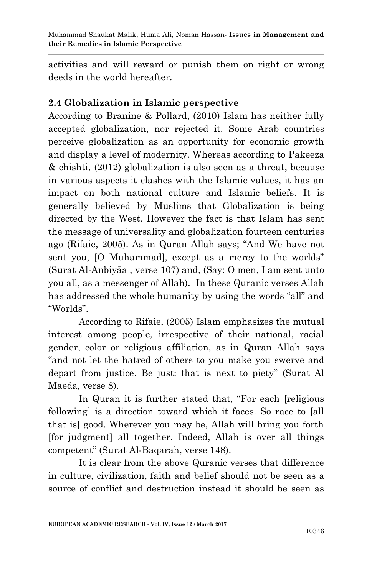activities and will reward or punish them on right or wrong deeds in the world hereafter.

## **2.4 Globalization in Islamic perspective**

According to Branine & Pollard, (2010) Islam has neither fully accepted globalization, nor rejected it. Some Arab countries perceive globalization as an opportunity for economic growth and display a level of modernity. Whereas according to Pakeeza & chishti, (2012) globalization is also seen as a threat, because in various aspects it clashes with the Islamic values, it has an impact on both national culture and Islamic beliefs. It is generally believed by Muslims that Globalization is being directed by the West. However the fact is that Islam has sent the message of universality and globalization fourteen centuries ago (Rifaie, 2005). As in Quran Allah says; "And We have not sent you, [O Muhammad], except as a mercy to the worlds" (Surat Al-Anbiyāa , verse 107) and, (Say: O men, I am sent unto you all, as a messenger of Allah). In these Quranic verses Allah has addressed the whole humanity by using the words "all" and "Worlds".

According to Rifaie, (2005) Islam emphasizes the mutual interest among people, irrespective of their national, racial gender, color or religious affiliation, as in Quran Allah says "and not let the hatred of others to you make you swerve and depart from justice. Be just: that is next to piety" (Surat Al Maeda, verse 8).

In Quran it is further stated that, "For each [religious following] is a direction toward which it faces. So race to [all that is] good. Wherever you may be, Allah will bring you forth [for judgment] all together. Indeed, Allah is over all things competent" (Surat Al-Baqarah, verse 148).

It is clear from the above Quranic verses that difference in culture, civilization, faith and belief should not be seen as a source of conflict and destruction instead it should be seen as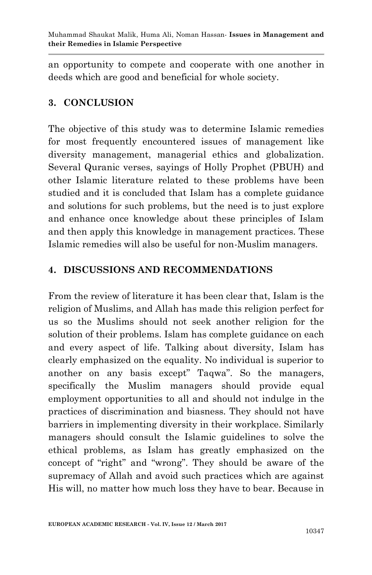an opportunity to compete and cooperate with one another in deeds which are good and beneficial for whole society.

# **3. CONCLUSION**

The objective of this study was to determine Islamic remedies for most frequently encountered issues of management like diversity management, managerial ethics and globalization. Several Quranic verses, sayings of Holly Prophet (PBUH) and other Islamic literature related to these problems have been studied and it is concluded that Islam has a complete guidance and solutions for such problems, but the need is to just explore and enhance once knowledge about these principles of Islam and then apply this knowledge in management practices. These Islamic remedies will also be useful for non-Muslim managers.

## **4. DISCUSSIONS AND RECOMMENDATIONS**

From the review of literature it has been clear that, Islam is the religion of Muslims, and Allah has made this religion perfect for us so the Muslims should not seek another religion for the solution of their problems. Islam has complete guidance on each and every aspect of life. Talking about diversity, Islam has clearly emphasized on the equality. No individual is superior to another on any basis except" Taqwa". So the managers, specifically the Muslim managers should provide equal employment opportunities to all and should not indulge in the practices of discrimination and biasness. They should not have barriers in implementing diversity in their workplace. Similarly managers should consult the Islamic guidelines to solve the ethical problems, as Islam has greatly emphasized on the concept of "right" and "wrong". They should be aware of the supremacy of Allah and avoid such practices which are against His will, no matter how much loss they have to bear. Because in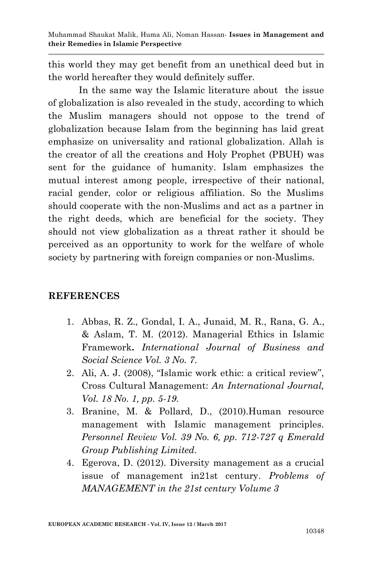this world they may get benefit from an unethical deed but in the world hereafter they would definitely suffer.

In the same way the Islamic literature about the issue of globalization is also revealed in the study, according to which the Muslim managers should not oppose to the trend of globalization because Islam from the beginning has laid great emphasize on universality and rational globalization. Allah is the creator of all the creations and Holy Prophet (PBUH) was sent for the guidance of humanity. Islam emphasizes the mutual interest among people, irrespective of their national, racial gender, color or religious affiliation. So the Muslims should cooperate with the non-Muslims and act as a partner in the right deeds, which are beneficial for the society. They should not view globalization as a threat rather it should be perceived as an opportunity to work for the welfare of whole society by partnering with foreign companies or non-Muslims.

#### **REFERENCES**

- 1. Abbas, R. Z., Gondal, I. A., Junaid, M. R., Rana, G. A., & Aslam, T. M. (2012). Managerial Ethics in Islamic Framework**.** *International Journal of Business and Social Science Vol. 3 No. 7.*
- 2. Ali, A. J. (2008), "Islamic work ethic: a critical review", Cross Cultural Management: *An International Journal, Vol. 18 No. 1, pp. 5-19.*
- 3. Branine, M. & Pollard, D., (2010).Human resource management with Islamic management principles. *Personnel Review Vol. 39 No. 6, pp. 712-727 q Emerald Group Publishing Limited.*
- 4. Egerova, D. (2012). Diversity management as a crucial issue of management in21st century. *Problems of MANAGEMENT in the 21st century Volume 3*